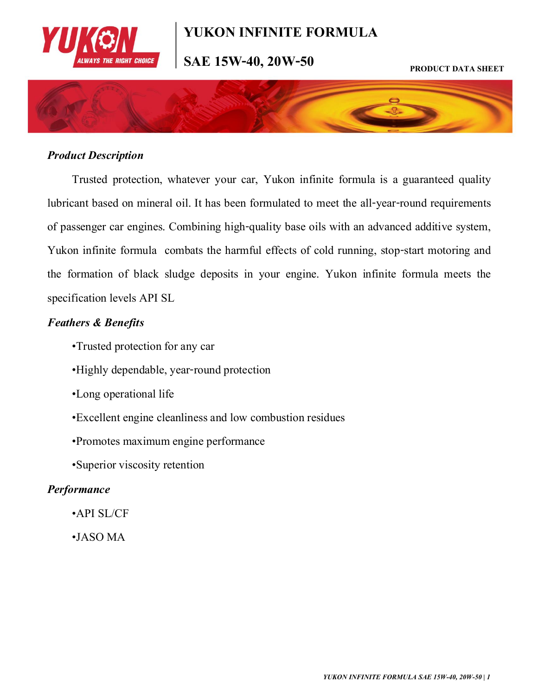

## **YUKON INFINITE FORMULA**

# **SAE 15W-40, 20W-50 PRODUCT DATA SHEET**



## *Product Description*

Trusted protection, whatever your car, Yukon infinite formula is a guaranteed quality lubricant based on mineral oil. It has been formulated to meet the all-year-round requirements of passenger car engines. Combining high-quality base oils with an advanced additive system, Yukon infinite formula combats the harmful effects of cold running, stop-start motoring and the formation of black sludge deposits in your engine. Yukon infinite formula meets the specification levels API SL

#### *Feathers & Benefits*

- •Trusted protection for any car
- •Highly dependable, year-round protection
- •Long operational life
- •Excellent engine cleanliness and low combustion residues
- •Promotes maximum engine performance
- •Superior viscosity retention

### *Performance*

- •API SL/CF
- •JASO MA